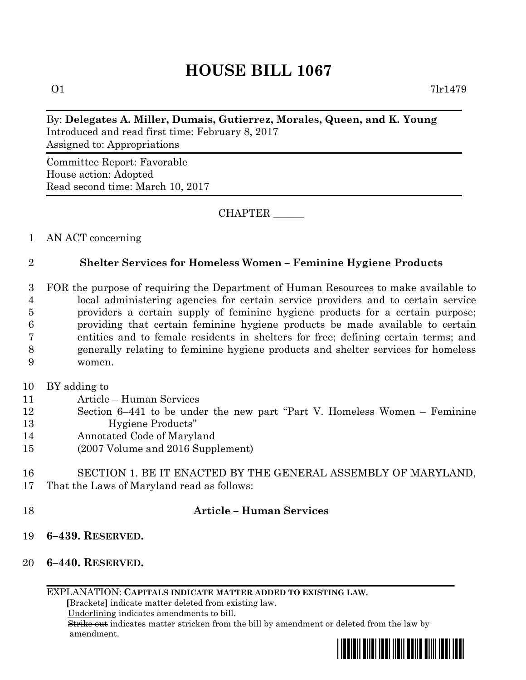# **HOUSE BILL 1067**

# By: **Delegates A. Miller, Dumais, Gutierrez, Morales, Queen, and K. Young** Introduced and read first time: February 8, 2017 Assigned to: Appropriations

Committee Report: Favorable House action: Adopted Read second time: March 10, 2017

CHAPTER \_\_\_\_\_\_

## 1 AN ACT concerning

# 2 **Shelter Services for Homeless Women – Feminine Hygiene Products**

 FOR the purpose of requiring the Department of Human Resources to make available to local administering agencies for certain service providers and to certain service providers a certain supply of feminine hygiene products for a certain purpose; providing that certain feminine hygiene products be made available to certain entities and to female residents in shelters for free; defining certain terms; and generally relating to feminine hygiene products and shelter services for homeless 9 women.

- 10 BY adding to
- 11 Article Human Services
- 12 Section 6–441 to be under the new part "Part V. Homeless Women Feminine 13 Hygiene Products"
- 14 Annotated Code of Maryland
- 15 (2007 Volume and 2016 Supplement)

#### 16 SECTION 1. BE IT ENACTED BY THE GENERAL ASSEMBLY OF MARYLAND, 17 That the Laws of Maryland read as follows:

## 18 **Article – Human Services**

- 19 **6–439. RESERVED.**
- 20 **6–440. RESERVED.**

EXPLANATION: **CAPITALS INDICATE MATTER ADDED TO EXISTING LAW**.

 **[**Brackets**]** indicate matter deleted from existing law.

Underlining indicates amendments to bill.

 Strike out indicates matter stricken from the bill by amendment or deleted from the law by amendment.